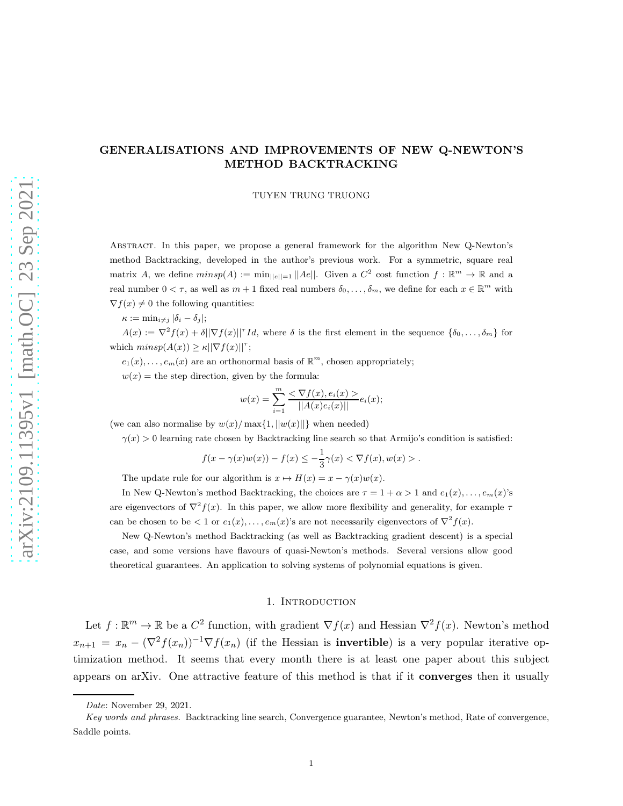## GENERALISATIONS AND IMPROVEMENTS OF NEW Q-NEWTON'S METHOD BACKTRACKING

TUYEN TRUNG TRUONG

Abstract. In this paper, we propose a general framework for the algorithm New Q-Newton's method Backtracking, developed in the author's previous work. For a symmetric, square real matrix A, we define  $minsp(A) := min_{||e||=1} ||Ae||$ . Given a  $C^2$  cost function  $f : \mathbb{R}^m \to \mathbb{R}$  and a real number  $0 < \tau$ , as well as  $m + 1$  fixed real numbers  $\delta_0, \ldots, \delta_m$ , we define for each  $x \in \mathbb{R}^m$  with  $\nabla f(x) \neq 0$  the following quantities:

 $\kappa := \min_{i \neq j} |\delta_i - \delta_j|;$ 

 $A(x) := \nabla^2 f(x) + \delta \|\nabla f(x)\|^T I d$ , where  $\delta$  is the first element in the sequence  $\{\delta_0, \ldots, \delta_m\}$  for which  $minsp(A(x)) \ge \kappa ||\nabla f(x)||^{\tau};$ 

 $e_1(x), \ldots, e_m(x)$  are an orthonormal basis of  $\mathbb{R}^m$ , chosen appropriately;

 $w(x)$  = the step direction, given by the formula:

$$
w(x) = \sum_{i=1}^{m} \frac{< \nabla f(x), e_i(x) >}{\|A(x)e_i(x)\|} e_i(x);
$$

(we can also normalise by  $w(x)/\max\{1, ||w(x)||\}$  when needed)

 $\gamma(x) > 0$  learning rate chosen by Backtracking line search so that Armijo's condition is satisfied:

$$
f(x - \gamma(x)w(x)) - f(x) \leq -\frac{1}{3}\gamma(x) < \nabla f(x), w(x) > .
$$

The update rule for our algorithm is  $x \mapsto H(x) = x - \gamma(x)w(x)$ .

In New Q-Newton's method Backtracking, the choices are  $\tau = 1 + \alpha > 1$  and  $e_1(x), \ldots, e_m(x)$ 's are eigenvectors of  $\nabla^2 f(x)$ . In this paper, we allow more flexibility and generality, for example  $\tau$ can be chosen to be  $\lt 1$  or  $e_1(x), \ldots, e_m(x)$ 's are not necessarily eigenvectors of  $\nabla^2 f(x)$ .

New Q-Newton's method Backtracking (as well as Backtracking gradient descent) is a special case, and some versions have flavours of quasi-Newton's methods. Several versions allow good theoretical guarantees. An application to solving systems of polynomial equations is given.

#### 1. INTRODUCTION

Let  $f : \mathbb{R}^m \to \mathbb{R}$  be a  $C^2$  function, with gradient  $\nabla f(x)$  and Hessian  $\nabla^2 f(x)$ . Newton's method  $x_{n+1} = x_n - (\nabla^2 f(x_n))^{-1} \nabla f(x_n)$  (if the Hessian is **invertible**) is a very popular iterative optimization method. It seems that every month there is at least one paper about this subject appears on arXiv. One attractive feature of this method is that if it converges then it usually

*Date*: November 29, 2021.

*Key words and phrases.* Backtracking line search, Convergence guarantee, Newton's method, Rate of convergence, Saddle points.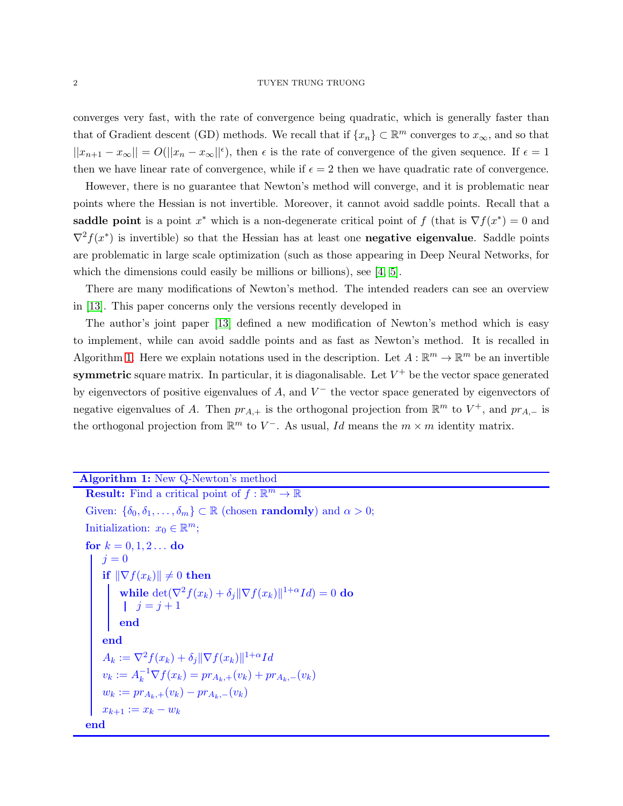converges very fast, with the rate of convergence being quadratic, which is generally faster than that of Gradient descent (GD) methods. We recall that if  $\{x_n\} \subset \mathbb{R}^m$  converges to  $x_{\infty}$ , and so that  $||x_{n+1} - x_{\infty}|| = O(||x_n - x_{\infty}||^{\epsilon}),$  then  $\epsilon$  is the rate of convergence of the given sequence. If  $\epsilon = 1$ then we have linear rate of convergence, while if  $\epsilon = 2$  then we have quadratic rate of convergence.

However, there is no guarantee that Newton's method will converge, and it is problematic near points where the Hessian is not invertible. Moreover, it cannot avoid saddle points. Recall that a saddle point is a point  $x^*$  which is a non-degenerate critical point of f (that is  $\nabla f(x^*) = 0$  and  $\nabla^2 f(x^*)$  is invertible) so that the Hessian has at least one **negative eigenvalue**. Saddle points are problematic in large scale optimization (such as those appearing in Deep Neural Networks, for which the dimensions could easily be millions or billions), see [\[4,](#page-12-0) [5\]](#page-12-1).

There are many modifications of Newton's method. The intended readers can see an overview in [\[13\]](#page-13-0). This paper concerns only the versions recently developed in

The author's joint paper [\[13\]](#page-13-0) defined a new modification of Newton's method which is easy to implement, while can avoid saddle points and as fast as Newton's method. It is recalled in Algorithm [1.](#page-1-0) Here we explain notations used in the description. Let  $A: \mathbb{R}^m \to \mathbb{R}^m$  be an invertible symmetric square matrix. In particular, it is diagonalisable. Let  $V^+$  be the vector space generated by eigenvectors of positive eigenvalues of  $A$ , and  $V^-$  the vector space generated by eigenvectors of negative eigenvalues of A. Then  $pr_{A,+}$  is the orthogonal projection from  $\mathbb{R}^m$  to  $V^+$ , and  $pr_{A,-}$  is the orthogonal projection from  $\mathbb{R}^m$  to  $V^-$ . As usual, Id means the  $m \times m$  identity matrix.

# Algorithm 1: New Q-Newton's method

```
Result: Find a critical point of f : \mathbb{R}^m \to \mathbb{R}Given: \{\delta_0, \delta_1, \ldots, \delta_m\} \subset \mathbb{R} (chosen randomly) and \alpha > 0;
Initialization: x_0 \in \mathbb{R}^m;
for k = 0, 1, 2... do
    j=0if \|\nabla f(x_k)\| \neq 0 then
          while \det(\nabla^2 f(x_k) + \delta_j \|\nabla f(x_k)\|^{1+\alpha} Id) = 0 do
               j = j + 1end
    end
     A_k := \nabla^2 f(x_k) + \delta_j \|\nabla f(x_k)\|^{1+\alpha} Idv_k := A_k^{-1} \nabla f(x_k) = pr_{A_k,+}(v_k) + pr_{A_k,-}(v_k)w_k := pr_{A_k,+}(v_k) - pr_{A_k,-}(v_k)x_{k+1} := x_k - w_kend
```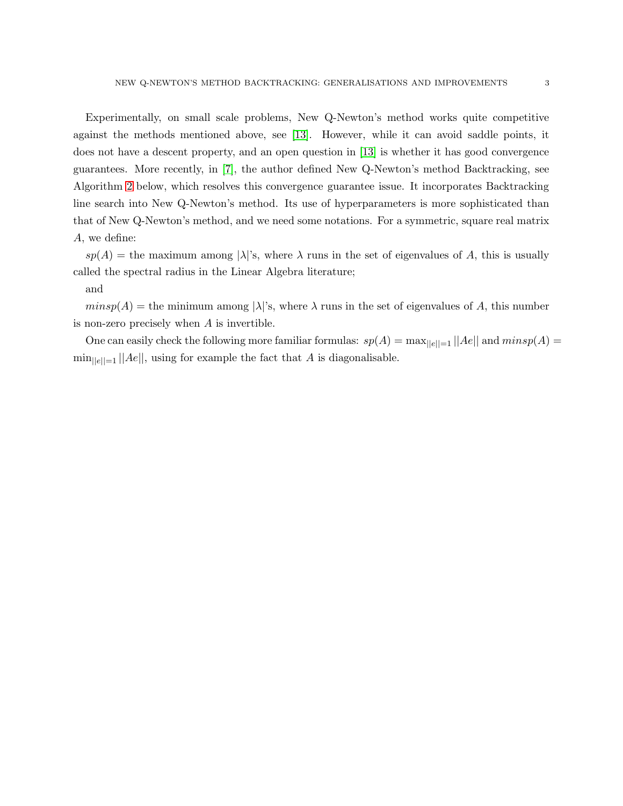Experimentally, on small scale problems, New Q-Newton's method works quite competitive against the methods mentioned above, see [\[13\]](#page-13-0). However, while it can avoid saddle points, it does not have a descent property, and an open question in [\[13\]](#page-13-0) is whether it has good convergence guarantees. More recently, in [\[7\]](#page-12-2), the author defined New Q-Newton's method Backtracking, see Algorithm [2](#page-3-0) below, which resolves this convergence guarantee issue. It incorporates Backtracking line search into New Q-Newton's method. Its use of hyperparameters is more sophisticated than that of New Q-Newton's method, and we need some notations. For a symmetric, square real matrix A, we define:

 $sp(A)$  = the maximum among  $|\lambda|$ 's, where  $\lambda$  runs in the set of eigenvalues of A, this is usually called the spectral radius in the Linear Algebra literature;

## and

 $minsp(A)$  = the minimum among  $|\lambda|$ 's, where  $\lambda$  runs in the set of eigenvalues of A, this number is non-zero precisely when A is invertible.

One can easily check the following more familiar formulas:  $sp(A) = \max_{||e||=1} ||Ae||$  and  $minsp(A) =$  $\min_{\vert\vert e\vert\vert=1} \vert\vert Ae\vert\vert$ , using for example the fact that A is diagonalisable.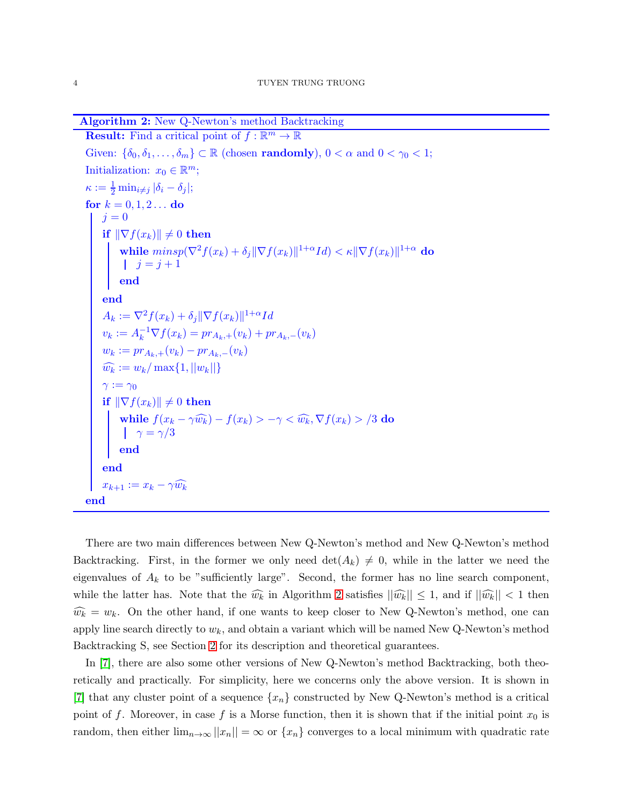Algorithm 2: New Q-Newton's method Backtracking

```
Result: Find a critical point of f : \mathbb{R}^m \to \mathbb{R}Given: \{\delta_0, \delta_1, \ldots, \delta_m\} \subset \mathbb{R} (chosen randomly), 0 < \alpha and 0 < \gamma_0 < 1;
Initialization: x_0 \in \mathbb{R}^m;
\kappa := \frac{1}{2} \min_{i \neq j} |\delta_i - \delta_j|;for k = 0, 1, 2... do
    j = 0if \|\nabla f(x_k)\| \neq 0 then
           while minsp(\nabla^2 f(x_k)+\delta_j\|\nabla f(x_k)\|^{1+\alpha}Id)<\kappa\|\nabla f(x_k)\|^{1+\alpha} do
                 j = j + 1end
      end
      A_k := \nabla^2 f(x_k) + \delta_j \|\nabla f(x_k)\|^{1+\alpha} Idv_k := A_k^{-1} \nabla f(x_k) = pr_{A_k,+}(v_k) + pr_{A_k,-}(v_k)w_k := pr_{A_k,+}(v_k) - pr_{A_k,-}(v_k)\widehat{w_k} := w_k / \max\{1, ||w_k||\}\gamma := \gamma_0if \|\nabla f(x_k)\| \neq 0 then
           while f(x_k - \gamma \widehat{w_k}) - f(x_k) > -\gamma < \widehat{w_k}, \nabla f(x_k) > /3 do
                 \gamma=\gamma/3end
      end
      x_{k+1} := x_k - \gamma \widehat{w_k}end
```
<span id="page-3-0"></span>There are two main differences between New Q-Newton's method and New Q-Newton's method Backtracking. First, in the former we only need  $\det(A_k) \neq 0$ , while in the latter we need the eigenvalues of  $A_k$  to be "sufficiently large". Second, the former has no line search component, while the latter has. Note that the  $\widehat{w_k}$  in Algorithm [2](#page-3-0) satisfies  $||\widehat{w_k}|| \leq 1$ , and if  $||\widehat{w_k}|| < 1$  then  $\widehat{w_k} = w_k$ . On the other hand, if one wants to keep closer to New Q-Newton's method, one can apply line search directly to  $w_k$ , and obtain a variant which will be named New Q-Newton's method Backtracking S, see Section [2](#page-8-0) for its description and theoretical guarantees.

In [\[7\]](#page-12-2), there are also some other versions of New Q-Newton's method Backtracking, both theoretically and practically. For simplicity, here we concerns only the above version. It is shown in [\[7\]](#page-12-2) that any cluster point of a sequence  $\{x_n\}$  constructed by New Q-Newton's method is a critical point of f. Moreover, in case f is a Morse function, then it is shown that if the initial point  $x_0$  is random, then either  $\lim_{n\to\infty}||x_n|| = \infty$  or  $\{x_n\}$  converges to a local minimum with quadratic rate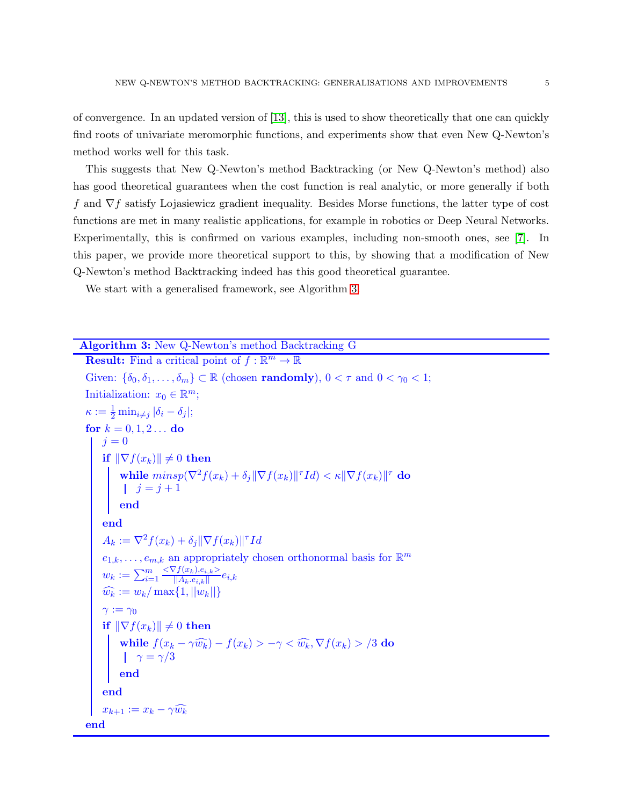of convergence. In an updated version of [\[13\]](#page-13-0), this is used to show theoretically that one can quickly find roots of univariate meromorphic functions, and experiments show that even New Q-Newton's method works well for this task.

This suggests that New Q-Newton's method Backtracking (or New Q-Newton's method) also has good theoretical guarantees when the cost function is real analytic, or more generally if both f and  $\nabla f$  satisfy Lojasiewicz gradient inequality. Besides Morse functions, the latter type of cost functions are met in many realistic applications, for example in robotics or Deep Neural Networks. Experimentally, this is confirmed on various examples, including non-smooth ones, see [\[7\]](#page-12-2). In this paper, we provide more theoretical support to this, by showing that a modification of New Q-Newton's method Backtracking indeed has this good theoretical guarantee.

We start with a generalised framework, see Algorithm [3.](#page-4-0)

<span id="page-4-0"></span>Algorithm 3: New Q-Newton's method Backtracking G **Result:** Find a critical point of  $f : \mathbb{R}^m \to \mathbb{R}$ Given:  $\{\delta_0, \delta_1, \ldots, \delta_m\} \subset \mathbb{R}$  (chosen **randomly**),  $0 < \tau$  and  $0 < \gamma_0 < 1$ ; Initialization:  $x_0 \in \mathbb{R}^m$ ;  $\kappa := \frac{1}{2} \min_{i \neq j} |\delta_i - \delta_j|;$ for  $k = 0, 1, 2...$  do  $j=0$ if  $\|\nabla f(x_k)\| \neq 0$  then while  $minsp(\nabla^2 f(x_k) + \delta_j \|\nabla f(x_k)\|^{\tau} Id) < \kappa \|\nabla f(x_k)\|^{\tau}$  do  $j = j + 1$ end end  $A_k := \nabla^2 f(x_k) + \delta_j \|\nabla f(x_k)\|^{\tau} Id$  $e_{1,k}, \ldots, e_{m,k}$  an appropriately chosen orthonormal basis for  $\mathbb{R}^m$  $w_k := \sum_{i=1}^m$  $\frac{<\nabla f(x_k),e_{i,k}>}{||A_k.e_{i,k}||}e_{i,k}$  $\widehat{w_k} := w_k / \max\{1, ||w_k||\}$  $\gamma := \gamma_0$ if  $\|\nabla f(x_k)\| \neq 0$  then while  $f(x_k - \gamma \widehat{w_k}) - f(x_k) > -\gamma < \widehat{w_k}, \nabla f(x_k) > /3$  do  $\gamma=\gamma/3$ end end  $x_{k+1} := x_k - \gamma \widehat{w_k}$ end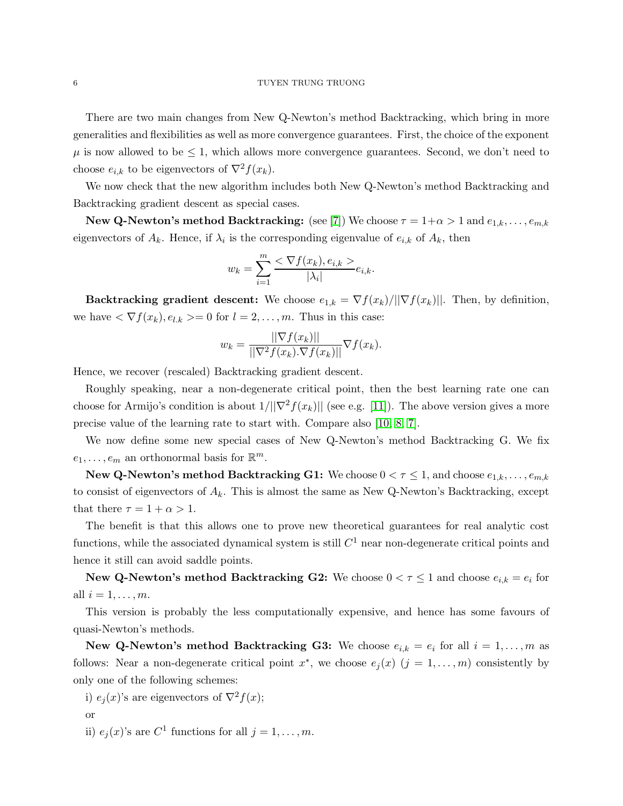There are two main changes from New Q-Newton's method Backtracking, which bring in more generalities and flexibilities as well as more convergence guarantees. First, the choice of the exponent  $\mu$  is now allowed to be  $\leq$  1, which allows more convergence guarantees. Second, we don't need to choose  $e_{i,k}$  to be eigenvectors of  $\nabla^2 f(x_k)$ .

We now check that the new algorithm includes both New Q-Newton's method Backtracking and Backtracking gradient descent as special cases.

New Q-Newton's method Backtracking: (see [\[7\]](#page-12-2)) We choose  $\tau = 1 + \alpha > 1$  and  $e_{1,k}, \ldots, e_{m,k}$ eigenvectors of  $A_k$ . Hence, if  $\lambda_i$  is the corresponding eigenvalue of  $e_{i,k}$  of  $A_k$ , then

$$
w_k = \sum_{i=1}^m \frac{<\nabla f(x_k), e_{i,k} >}{|\lambda_i|} e_{i,k}.
$$

Backtracking gradient descent: We choose  $e_{1,k} = \nabla f(x_k)/\|\nabla f(x_k)\|$ . Then, by definition, we have  $\langle \nabla f(x_k), e_{l,k} \rangle = 0$  for  $l = 2, \ldots, m$ . Thus in this case:

$$
w_k = \frac{||\nabla f(x_k)||}{||\nabla^2 f(x_k) \cdot \nabla f(x_k)||} \nabla f(x_k).
$$

Hence, we recover (rescaled) Backtracking gradient descent.

Roughly speaking, near a non-degenerate critical point, then the best learning rate one can choose for Armijo's condition is about  $1/||\nabla^2 f(x_k)||$  (see e.g. [\[11\]](#page-13-1)). The above version gives a more precise value of the learning rate to start with. Compare also [\[10,](#page-13-2) [8,](#page-13-3) [7\]](#page-12-2).

We now define some new special cases of New Q-Newton's method Backtracking G. We fix  $e_1, \ldots, e_m$  an orthonormal basis for  $\mathbb{R}^m$ .

**New Q-Newton's method Backtracking G1:** We choose  $0 < \tau \leq 1$ , and choose  $e_{1,k}, \ldots, e_{m,k}$ to consist of eigenvectors of  $A_k$ . This is almost the same as New Q-Newton's Backtracking, except that there  $\tau = 1 + \alpha > 1$ .

The benefit is that this allows one to prove new theoretical guarantees for real analytic cost functions, while the associated dynamical system is still  $C^1$  near non-degenerate critical points and hence it still can avoid saddle points.

New Q-Newton's method Backtracking G2: We choose  $0 < \tau \leq 1$  and choose  $e_{i,k} = e_i$  for all  $i = 1, \ldots, m$ .

This version is probably the less computationally expensive, and hence has some favours of quasi-Newton's methods.

New Q-Newton's method Backtracking G3: We choose  $e_{i,k} = e_i$  for all  $i = 1, ..., m$  as follows: Near a non-degenerate critical point  $x^*$ , we choose  $e_j(x)$   $(j = 1, ..., m)$  consistently by only one of the following schemes:

- i)  $e_i(x)$ 's are eigenvectors of  $\nabla^2 f(x)$ ;
- or
- ii)  $e_j(x)$ 's are  $C^1$  functions for all  $j = 1, \ldots, m$ .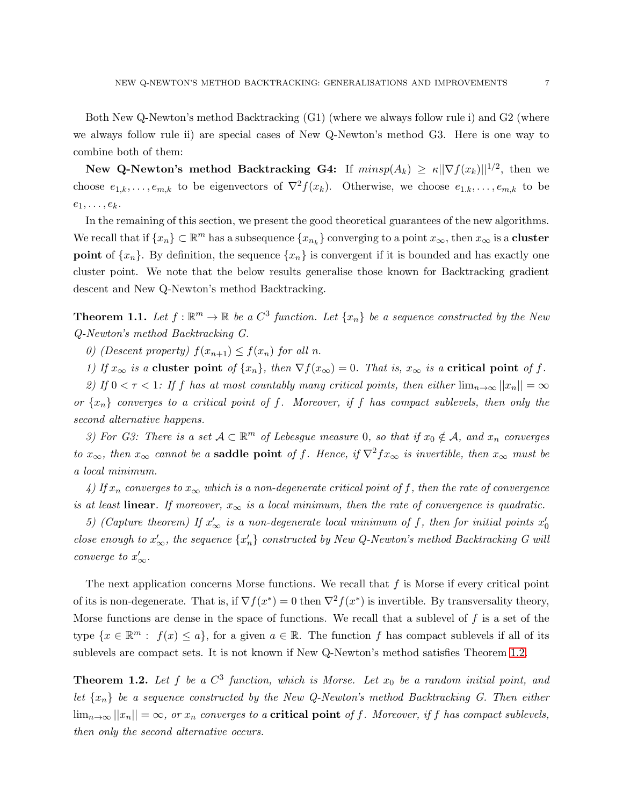Both New Q-Newton's method Backtracking (G1) (where we always follow rule i) and G2 (where we always follow rule ii) are special cases of New Q-Newton's method G3. Here is one way to combine both of them:

New Q-Newton's method Backtracking G4: If  $minsp(A_k) \geq \kappa ||\nabla f(x_k)||^{1/2}$ , then we choose  $e_{1,k},\ldots,e_{m,k}$  to be eigenvectors of  $\nabla^2 f(x_k)$ . Otherwise, we choose  $e_{1,k},\ldots,e_{m,k}$  to be  $e_1, \ldots, e_k.$ 

In the remaining of this section, we present the good theoretical guarantees of the new algorithms. We recall that if  $\{x_n\} \subset \mathbb{R}^m$  has a subsequence  $\{x_{n_k}\}$  converging to a point  $x_\infty$ , then  $x_\infty$  is a **cluster point** of  $\{x_n\}$ . By definition, the sequence  $\{x_n\}$  is convergent if it is bounded and has exactly one cluster point. We note that the below results generalise those known for Backtracking gradient descent and New Q-Newton's method Backtracking.

<span id="page-6-1"></span>**Theorem 1.1.** Let  $f : \mathbb{R}^m \to \mathbb{R}$  be a  $C^3$  function. Let  $\{x_n\}$  be a sequence constructed by the New *Q-Newton's method Backtracking G.*

*0)* (Descent property)  $f(x_{n+1}) \leq f(x_n)$  for all n.

*1)* If  $x_{\infty}$  *is a* cluster point *of*  $\{x_n\}$ *, then*  $\nabla f(x_{\infty}) = 0$ *. That is,*  $x_{\infty}$  *is a* critical point *of* f.

*2)* If  $0 < \tau < 1$ : If f has at most countably many critical points, then either  $\lim_{n\to\infty} ||x_n|| = \infty$ *or* {xn} *converges to a critical point of* f*. Moreover, if* f *has compact sublevels, then only the second alternative happens.*

*3) For G3: There is a set*  $A \subset \mathbb{R}^m$  *of Lebesgue measure* 0*, so that if*  $x_0 \notin A$ *, and*  $x_n$  *converges to*  $x_{\infty}$ *, then*  $x_{\infty}$  *cannot be a* **saddle point** *of* f. Hence, if  $\nabla^2 f x_{\infty}$  *is invertible, then*  $x_{\infty}$  *must be a local minimum.*

*4)* If  $x_n$  converges to  $x_\infty$  which is a non-degenerate critical point of f, then the rate of convergence *is at least* **linear**. If moreover,  $x_{\infty}$  *is a local minimum, then the rate of convergence is quadratic.* 

5) (Capture theorem) If  $x'_\infty$  is a non-degenerate local minimum of f, then for initial points  $x'_0$ *close enough to*  $x'_\infty$ , the sequence  $\{x'_n\}$  constructed by New Q-Newton's method Backtracking G will *converge to*  $x'_\infty$ *.* 

The next application concerns Morse functions. We recall that  $f$  is Morse if every critical point of its is non-degenerate. That is, if  $\nabla f(x^*) = 0$  then  $\nabla^2 f(x^*)$  is invertible. By transversality theory, Morse functions are dense in the space of functions. We recall that a sublevel of  $f$  is a set of the type  $\{x \in \mathbb{R}^m : f(x) \le a\}$ , for a given  $a \in \mathbb{R}$ . The function f has compact sublevels if all of its sublevels are compact sets. It is not known if New Q-Newton's method satisfies Theorem [1.2.](#page-6-0)

<span id="page-6-0"></span>**Theorem 1.2.** Let f be a  $C^3$  function, which is Morse. Let  $x_0$  be a random initial point, and *let* {xn} *be a sequence constructed by the New Q-Newton's method Backtracking G. Then either*  $\lim_{n\to\infty}||x_n||=\infty$ , or  $x_n$  converges to a **critical point** of f. Moreover, if f has compact sublevels, *then only the second alternative occurs.*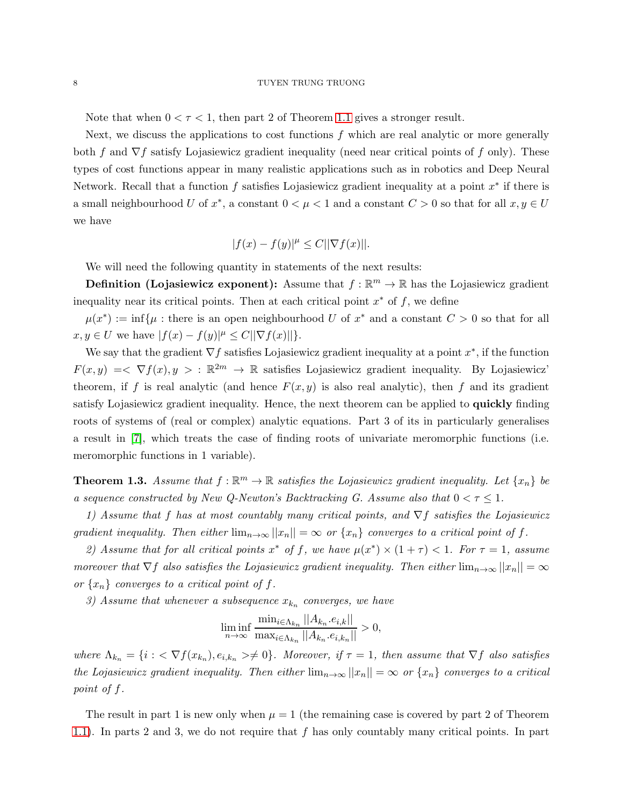Note that when  $0 < \tau < 1$ , then part 2 of Theorem [1.1](#page-6-1) gives a stronger result.

Next, we discuss the applications to cost functions  $f$  which are real analytic or more generally both f and  $\nabla f$  satisfy Lojasiewicz gradient inequality (need near critical points of f only). These types of cost functions appear in many realistic applications such as in robotics and Deep Neural Network. Recall that a function  $f$  satisfies Lojasiewicz gradient inequality at a point  $x^*$  if there is a small neighbourhood U of  $x^*$ , a constant  $0 < \mu < 1$  and a constant  $C > 0$  so that for all  $x, y \in U$ we have

$$
|f(x) - f(y)|^{\mu} \le C ||\nabla f(x)||.
$$

We will need the following quantity in statements of the next results:

**Definition (Lojasiewicz exponent):** Assume that  $f : \mathbb{R}^m \to \mathbb{R}$  has the Lojasiewicz gradient inequality near its critical points. Then at each critical point  $x^*$  of f, we define

 $\mu(x^*) := \inf\{\mu : \text{there is an open neighborhood } U \text{ of } x^* \text{ and a constant } C > 0 \text{ so that for all }$  $x, y \in U$  we have  $|f(x) - f(y)|^{\mu} \leq C ||\nabla f(x)||$ .

We say that the gradient  $\nabla f$  satisfies Lojasiewicz gradient inequality at a point  $x^*$ , if the function  $F(x, y) \leq \nabla f(x), y > : \mathbb{R}^{2m} \to \mathbb{R}$  satisfies Lojasiewicz gradient inequality. By Lojasiewicz' theorem, if f is real analytic (and hence  $F(x, y)$  is also real analytic), then f and its gradient satisfy Lojasiewicz gradient inequality. Hence, the next theorem can be applied to **quickly** finding roots of systems of (real or complex) analytic equations. Part 3 of its in particularly generalises a result in [\[7\]](#page-12-2), which treats the case of finding roots of univariate meromorphic functions (i.e. meromorphic functions in 1 variable).

<span id="page-7-0"></span>**Theorem 1.3.** Assume that  $f : \mathbb{R}^m \to \mathbb{R}$  satisfies the Lojasiewicz gradient inequality. Let  $\{x_n\}$  be *a sequence constructed by New Q-Newton's Backtracking G. Assume also that*  $0 < \tau \leq 1$ *.* 

*1) Assume that* f *has at most countably many critical points, and* ∇f *satisfies the Lojasiewicz gradient inequality. Then either*  $\lim_{n\to\infty} ||x_n|| = \infty$  *or*  $\{x_n\}$  *converges to a critical point of f.* 

*2)* Assume that for all critical points  $x^*$  of f, we have  $\mu(x^*) \times (1 + \tau) < 1$ . For  $\tau = 1$ , assume *moreover that*  $\nabla f$  *also satisfies the Lojasiewicz gradient inequality. Then either*  $\lim_{n\to\infty}||x_n|| = \infty$ or  $\{x_n\}$  *converges to a critical point of f.* 

 $3)$  Assume that whenever a subsequence  $x_{k_n}$  converges, we have

$$
\liminf_{n \to \infty} \frac{\min_{i \in \Lambda_{k_n}} ||A_{k_n}.e_{i,k}||}{\max_{i \in \Lambda_{k_n}} ||A_{k_n}.e_{i,k_n}||} > 0,
$$

where  $\Lambda_{k_n} = \{i : \langle \nabla f(x_{k_n}), e_{i,k_n} \rangle \neq 0\}$ . Moreover, if  $\tau = 1$ , then assume that  $\nabla f$  also satisfies *the Lojasiewicz gradient inequality. Then either*  $\lim_{n\to\infty} ||x_n|| = \infty$  *or*  $\{x_n\}$  *converges to a critical point of* f*.*

The result in part 1 is new only when  $\mu = 1$  (the remaining case is covered by part 2 of Theorem [1.1\)](#page-6-1). In parts 2 and 3, we do not require that f has only countably many critical points. In part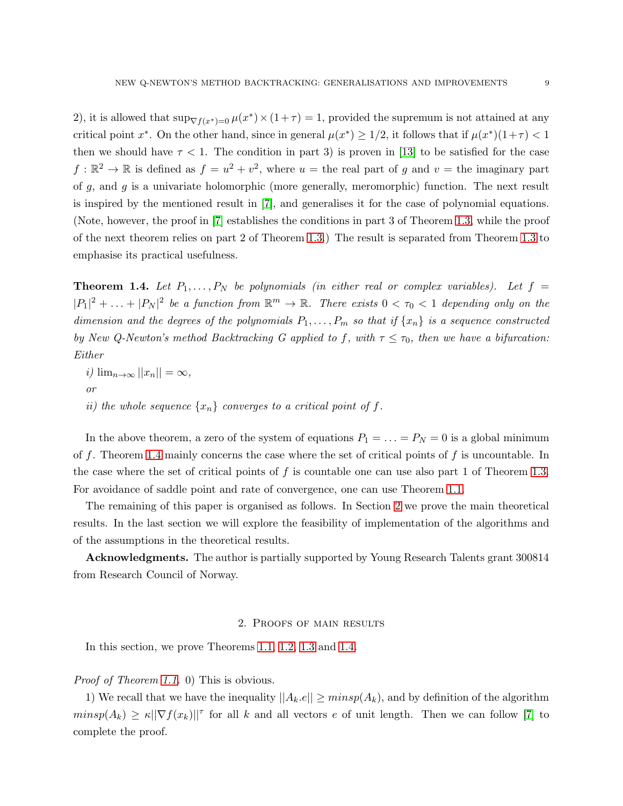2), it is allowed that  $\sup_{\nabla f(x^*)=0} \mu(x^*) \times (1+\tau) = 1$ , provided the supremum is not attained at any critical point  $x^*$ . On the other hand, since in general  $\mu(x^*) \geq 1/2$ , it follows that if  $\mu(x^*)(1+\tau) < 1$ then we should have  $\tau < 1$ . The condition in part 3) is proven in [\[13\]](#page-13-0) to be satisfied for the case  $f: \mathbb{R}^2 \to \mathbb{R}$  is defined as  $f = u^2 + v^2$ , where  $u =$  the real part of g and  $v =$  the imaginary part of  $g$ , and  $g$  is a univariate holomorphic (more generally, meromorphic) function. The next result is inspired by the mentioned result in [\[7\]](#page-12-2), and generalises it for the case of polynomial equations. (Note, however, the proof in [\[7\]](#page-12-2) establishes the conditions in part 3 of Theorem [1.3,](#page-7-0) while the proof of the next theorem relies on part 2 of Theorem [1.3.](#page-7-0)) The result is separated from Theorem [1.3](#page-7-0) to emphasise its practical usefulness.

<span id="page-8-1"></span>**Theorem 1.4.** Let  $P_1, \ldots, P_N$  be polynomials (in either real or complex variables). Let  $f =$  $|P_1|^2 + \ldots + |P_N|^2$  be a function from  $\mathbb{R}^m \to \mathbb{R}$ . There exists  $0 < \tau_0 < 1$  depending only on the *dimension and the degrees of the polynomials*  $P_1, \ldots, P_m$  *so that if*  $\{x_n\}$  *is a sequence constructed by New Q-Newton's method Backtracking G applied to f, with*  $\tau \leq \tau_0$ *, then we have a bifurcation: Either*

 $i)$   $\lim_{n\to\infty}$   $||x_n|| = \infty$ , *or ii)* the whole sequence  $\{x_n\}$  converges to a critical point of f.

In the above theorem, a zero of the system of equations  $P_1 = \ldots = P_N = 0$  is a global minimum of f. Theorem [1.4](#page-8-1) mainly concerns the case where the set of critical points of f is uncountable. In the case where the set of critical points of f is countable one can use also part 1 of Theorem [1.3.](#page-7-0) For avoidance of saddle point and rate of convergence, one can use Theorem [1.1.](#page-6-1)

The remaining of this paper is organised as follows. In Section [2](#page-8-0) we prove the main theoretical results. In the last section we will explore the feasibility of implementation of the algorithms and of the assumptions in the theoretical results.

<span id="page-8-0"></span>Acknowledgments. The author is partially supported by Young Research Talents grant 300814 from Research Council of Norway.

## 2. Proofs of main results

In this section, we prove Theorems [1.1,](#page-6-1) [1.2,](#page-6-0) [1.3](#page-7-0) and [1.4.](#page-8-1)

## *Proof of Theorem [1.1.](#page-6-1)* 0) This is obvious.

1) We recall that we have the inequality  $||A_k.e|| \geq minsp(A_k)$ , and by definition of the algorithm  $minsp(A_k) \geq \kappa ||\nabla f(x_k)||^{\tau}$  for all k and all vectors e of unit length. Then we can follow [\[7\]](#page-12-2) to complete the proof.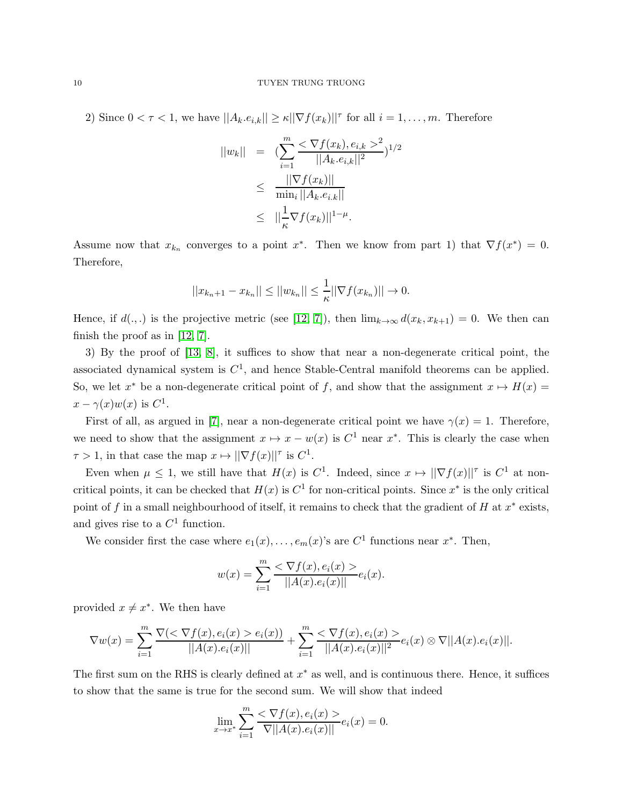2) Since  $0 < \tau < 1$ , we have  $||A_k.e_{i,k}|| \ge \kappa ||\nabla f(x_k)||^{\tau}$  for all  $i = 1, \ldots, m$ . Therefore

$$
||w_k|| = \left( \sum_{i=1}^m \frac{< \nabla f(x_k), e_{i,k} >^2}{||A_k, e_{i,k}||^2} \right)^{1/2}
$$
  
\n
$$
\leq \frac{||\nabla f(x_k)||}{\min_i ||A_k, e_{i,k}||}
$$
  
\n
$$
\leq ||\frac{1}{\kappa} \nabla f(x_k)||^{1-\mu}.
$$

Assume now that  $x_{k_n}$  converges to a point  $x^*$ . Then we know from part 1) that  $\nabla f(x^*) = 0$ . Therefore,

$$
||x_{k_n+1} - x_{k_n}|| \le ||w_{k_n}|| \le \frac{1}{\kappa} ||\nabla f(x_{k_n})|| \to 0.
$$

Hence, if  $d(.,.)$  is the projective metric (see [\[12,](#page-13-4) [7\]](#page-12-2)), then  $\lim_{k\to\infty} d(x_k, x_{k+1}) = 0$ . We then can finish the proof as in [\[12,](#page-13-4) [7\]](#page-12-2).

3) By the proof of [\[13,](#page-13-0) [8\]](#page-13-3), it suffices to show that near a non-degenerate critical point, the associated dynamical system is  $C<sup>1</sup>$ , and hence Stable-Central manifold theorems can be applied. So, we let  $x^*$  be a non-degenerate critical point of f, and show that the assignment  $x \mapsto H(x) =$  $x - \gamma(x)w(x)$  is  $C^1$ .

First of all, as argued in [\[7\]](#page-12-2), near a non-degenerate critical point we have  $\gamma(x) = 1$ . Therefore, we need to show that the assignment  $x \mapsto x - w(x)$  is  $C^1$  near  $x^*$ . This is clearly the case when  $\tau > 1$ , in that case the map  $x \mapsto ||\nabla f(x)||^{\tau}$  is  $C^1$ .

Even when  $\mu \leq 1$ , we still have that  $H(x)$  is  $C^1$ . Indeed, since  $x \mapsto ||\nabla f(x)||^{\tau}$  is  $C^1$  at noncritical points, it can be checked that  $H(x)$  is  $C<sup>1</sup>$  for non-critical points. Since  $x^*$  is the only critical point of f in a small neighbourhood of itself, it remains to check that the gradient of H at  $x^*$  exists, and gives rise to a  $C<sup>1</sup>$  function.

We consider first the case where  $e_1(x), \ldots, e_m(x)$ 's are  $C^1$  functions near  $x^*$ . Then,

$$
w(x) = \sum_{i=1}^{m} \frac{< \nabla f(x), e_i(x) >}{||A(x).e_i(x)||} e_i(x).
$$

provided  $x \neq x^*$ . We then have

$$
\nabla w(x) = \sum_{i=1}^{m} \frac{\nabla(<\nabla f(x), e_i(x) > e_i(x))}{||A(x).e_i(x)||} + \sum_{i=1}^{m} \frac{<\nabla f(x), e_i(x)>}{||A(x).e_i(x)||^2} e_i(x) \otimes \nabla ||A(x).e_i(x)||.
$$

The first sum on the RHS is clearly defined at  $x^*$  as well, and is continuous there. Hence, it suffices to show that the same is true for the second sum. We will show that indeed

$$
\lim_{x \to x^*} \sum_{i=1}^m \frac{< \nabla f(x), e_i(x) >}{\nabla ||A(x).e_i(x)||} e_i(x) = 0.
$$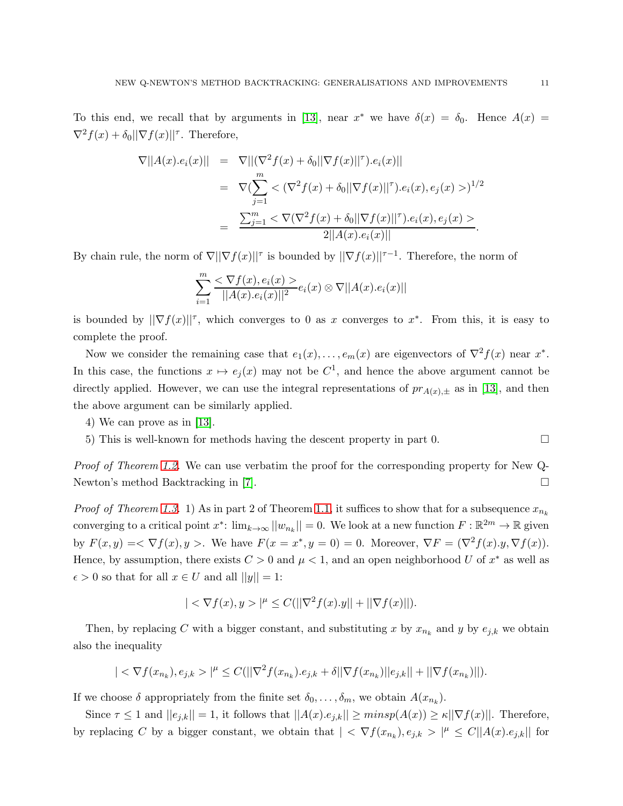To this end, we recall that by arguments in [\[13\]](#page-13-0), near  $x^*$  we have  $\delta(x) = \delta_0$ . Hence  $A(x) =$  $\nabla^2 f(x) + \delta_0 ||\nabla f(x)||^{\tau}$ . Therefore,

$$
\nabla ||A(x).e_i(x)|| = \nabla ||(\nabla^2 f(x) + \delta_0||\nabla f(x)||^{\tau}).e_i(x)||
$$
\n
$$
= \nabla (\sum_{j=1}^m < (\nabla^2 f(x) + \delta_0||\nabla f(x)||^{\tau}).e_i(x).e_j(x) >)^{1/2}
$$
\n
$$
= \frac{\sum_{j=1}^m < \nabla(\nabla^2 f(x) + \delta_0||\nabla f(x)||^{\tau}).e_i(x).e_j(x) >}{2||A(x).e_i(x)||}.
$$

By chain rule, the norm of  $\nabla ||\nabla f(x)||^{\tau}$  is bounded by  $||\nabla f(x)||^{\tau-1}$ . Therefore, the norm of

$$
\sum_{i=1}^{m} \frac{<\nabla f(x), e_i(x) >}{||A(x).e_i(x)||^2} e_i(x) \otimes \nabla ||A(x).e_i(x)||
$$

is bounded by  $\|\nabla f(x)\|^{\tau}$ , which converges to 0 as x converges to  $x^*$ . From this, it is easy to complete the proof.

Now we consider the remaining case that  $e_1(x), \ldots, e_m(x)$  are eigenvectors of  $\nabla^2 f(x)$  near  $x^*$ . In this case, the functions  $x \mapsto e_j(x)$  may not be  $C^1$ , and hence the above argument cannot be directly applied. However, we can use the integral representations of  $pr_{A(x),\pm}$  as in [\[13\]](#page-13-0), and then the above argument can be similarly applied.

- 4) We can prove as in [\[13\]](#page-13-0).
- 5) This is well-known for methods having the descent property in part 0.

*Proof of Theorem [1.2.](#page-6-0)* We can use verbatim the proof for the corresponding property for New Q-Newton's method Backtracking in [\[7\]](#page-12-2).

*Proof of Theorem [1.3.](#page-7-0)* 1) As in part 2 of Theorem [1.1,](#page-6-1) it suffices to show that for a subsequence  $x_{n_k}$ converging to a critical point  $x^*$ :  $\lim_{k\to\infty} ||w_{n_k}|| = 0$ . We look at a new function  $F : \mathbb{R}^{2m} \to \mathbb{R}$  given by  $F(x,y) = \langle \nabla f(x), y \rangle$ . We have  $F(x = x^*, y = 0) = 0$ . Moreover,  $\nabla F = (\nabla^2 f(x), y, \nabla f(x))$ . Hence, by assumption, there exists  $C > 0$  and  $\mu < 1$ , and an open neighborhood U of  $x^*$  as well as  $\epsilon > 0$  so that for all  $x \in U$  and all  $||y|| = 1$ :

$$
| < \nabla f(x), y > |^{\mu} \le C(||\nabla^2 f(x).y|| + ||\nabla f(x)||).
$$

Then, by replacing C with a bigger constant, and substituting x by  $x_{n_k}$  and y by  $e_{j,k}$  we obtain also the inequality

$$
|<\nabla f(x_{n_k}), e_{j,k}>|^{\mu} \le C(||\nabla^2 f(x_{n_k}).e_{j,k}+\delta||\nabla f(x_{n_k})||e_{j,k}||+||\nabla f(x_{n_k})||).
$$

If we choose  $\delta$  appropriately from the finite set  $\delta_0, \ldots, \delta_m$ , we obtain  $A(x_{n_k})$ .

Since  $\tau \leq 1$  and  $||e_{j,k}|| = 1$ , it follows that  $||A(x).e_{j,k}|| \geq minsp(A(x)) \geq \kappa||\nabla f(x)||$ . Therefore, by replacing C by a bigger constant, we obtain that  $| \langle \nabla f(x_{n_k}), e_{j,k} \rangle |^{\mu} \leq C ||A(x) \cdot e_{j,k}||$  for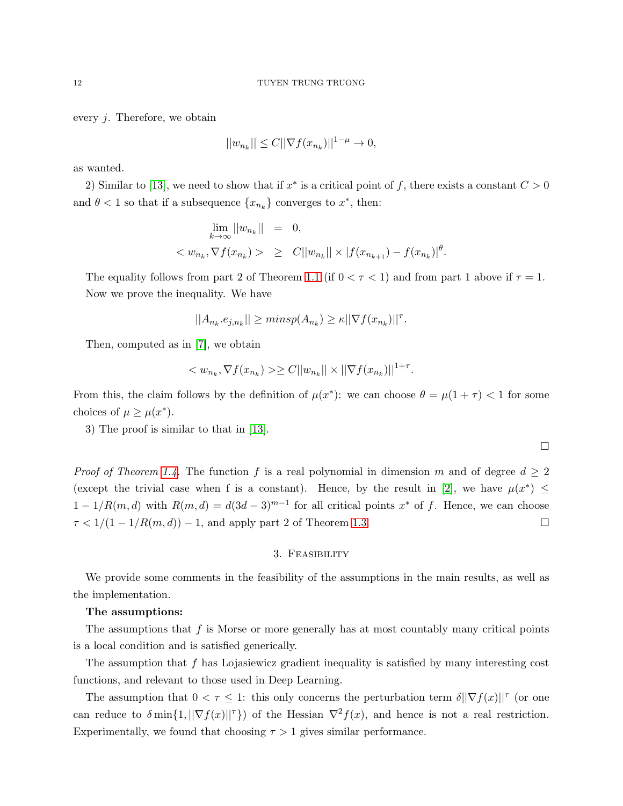#### 12 TUYEN TRUNG TRUONG

every j. Therefore, we obtain

$$
||w_{n_k}|| \le C||\nabla f(x_{n_k})||^{1-\mu} \to 0,
$$

as wanted.

2) Similar to [\[13\]](#page-13-0), we need to show that if  $x^*$  is a critical point of f, there exists a constant  $C > 0$ and  $\theta < 1$  so that if a subsequence  $\{x_{n_k}\}$  converges to  $x^*$ , then:

$$
\lim_{k \to \infty} ||w_{n_k}|| = 0,
$$
  

$$
< w_{n_k}, \nabla f(x_{n_k}) > \geq C||w_{n_k}|| \times |f(x_{n_{k+1}}) - f(x_{n_k})|^{\theta}.
$$

The equality follows from part 2 of Theorem [1.1](#page-6-1) (if  $0 < \tau < 1$ ) and from part 1 above if  $\tau = 1$ . Now we prove the inequality. We have

$$
||A_{n_k}.e_{j,n_k}|| \geq minsp(A_{n_k}) \geq \kappa ||\nabla f(x_{n_k})||^{\tau}.
$$

Then, computed as in [\[7\]](#page-12-2), we obtain

$$
\langle w_{n_k}, \nabla f(x_{n_k}) \rangle \ge C ||w_{n_k}|| \times ||\nabla f(x_{n_k})||^{1+\tau}.
$$

From this, the claim follows by the definition of  $\mu(x^*)$ : we can choose  $\theta = \mu(1 + \tau) < 1$  for some choices of  $\mu \geq \mu(x^*)$ .

3) The proof is similar to that in [\[13\]](#page-13-0).

*Proof of Theorem [1.4.](#page-8-1)* The function f is a real polynomial in dimension m and of degree  $d \geq 2$ (except the trivial case when f is a constant). Hence, by the result in [\[2\]](#page-12-3), we have  $\mu(x^*) \leq$  $1-1/R(m, d)$  with  $R(m, d) = d(3d-3)^{m-1}$  for all critical points  $x^*$  of f. Hence, we can choose  $\tau < 1/(1 - 1/R(m, d)) - 1$ , and apply part 2 of Theorem [1.3.](#page-7-0)

## 3. Feasibility

We provide some comments in the feasibility of the assumptions in the main results, as well as the implementation.

## The assumptions:

The assumptions that f is Morse or more generally has at most countably many critical points is a local condition and is satisfied generically.

The assumption that  $f$  has Lojasiewicz gradient inequality is satisfied by many interesting cost functions, and relevant to those used in Deep Learning.

The assumption that  $0 < \tau \leq 1$ : this only concerns the perturbation term  $\delta ||\nabla f(x)||^{\tau}$  (or one can reduce to  $\delta \min\{1, ||\nabla f(x)||^{\tau}\}\)$  of the Hessian  $\nabla^2 f(x)$ , and hence is not a real restriction. Experimentally, we found that choosing  $\tau > 1$  gives similar performance.

 $\Box$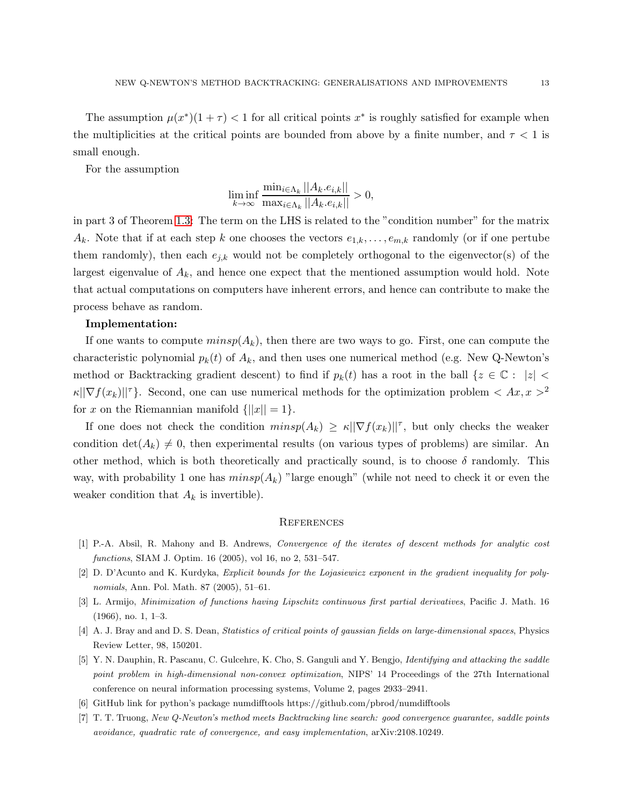The assumption  $\mu(x^*)(1+\tau) < 1$  for all critical points  $x^*$  is roughly satisfied for example when the multiplicities at the critical points are bounded from above by a finite number, and  $\tau < 1$  is small enough.

For the assumption

$$
\liminf_{k \to \infty} \frac{\min_{i \in \Lambda_k} ||A_k.e_{i,k}||}{\max_{i \in \Lambda_k} ||A_k.e_{i,k}||} > 0,
$$

in part 3 of Theorem [1.3:](#page-7-0) The term on the LHS is related to the "condition number" for the matrix  $A_k$ . Note that if at each step k one chooses the vectors  $e_{1,k},\ldots,e_{m,k}$  randomly (or if one pertube them randomly), then each  $e_{j,k}$  would not be completely orthogonal to the eigenvector(s) of the largest eigenvalue of  $A_k$ , and hence one expect that the mentioned assumption would hold. Note that actual computations on computers have inherent errors, and hence can contribute to make the process behave as random.

#### Implementation:

If one wants to compute  $minsp(A_k)$ , then there are two ways to go. First, one can compute the characteristic polynomial  $p_k(t)$  of  $A_k$ , and then uses one numerical method (e.g. New Q-Newton's method or Backtracking gradient descent) to find if  $p_k(t)$  has a root in the ball  $\{z \in \mathbb{C} : |z| <$  $\kappa \|\nabla f(x_k)\|^{\tau}$ . Second, one can use numerical methods for the optimization problem  $\langle Ax, x \rangle^2$ for x on the Riemannian manifold  $\{|x| = 1\}.$ 

If one does not check the condition  $minsp(A_k) \geq \kappa ||\nabla f(x_k)||^{\tau}$ , but only checks the weaker condition  $\det(A_k) \neq 0$ , then experimental results (on various types of problems) are similar. An other method, which is both theoretically and practically sound, is to choose  $\delta$  randomly. This way, with probability 1 one has  $minsp(A_k)$  "large enough" (while not need to check it or even the weaker condition that  $A_k$  is invertible).

#### **REFERENCES**

- <span id="page-12-3"></span>[1] P.-A. Absil, R. Mahony and B. Andrews, *Convergence of the iterates of descent methods for analytic cost functions*, SIAM J. Optim. 16 (2005), vol 16, no 2, 531–547.
- [2] D. D'Acunto and K. Kurdyka, *Explicit bounds for the Lojasiewicz exponent in the gradient inequality for polynomials*, Ann. Pol. Math. 87 (2005), 51–61.
- <span id="page-12-0"></span>[3] L. Armijo, *Minimization of functions having Lipschitz continuous first partial derivatives*, Pacific J. Math. 16 (1966), no. 1, 1–3.
- <span id="page-12-1"></span>[4] A. J. Bray and and D. S. Dean, *Statistics of critical points of gaussian fields on large-dimensional spaces*, Physics Review Letter, 98, 150201.
- [5] Y. N. Dauphin, R. Pascanu, C. Gulcehre, K. Cho, S. Ganguli and Y. Bengjo, *Identifying and attacking the saddle point problem in high-dimensional non-convex optimization*, NIPS' 14 Proceedings of the 27th International conference on neural information processing systems, Volume 2, pages 2933–2941.
- <span id="page-12-2"></span>[6] GitHub link for python's package numdifftools https://github.com/pbrod/numdifftools
- [7] T. T. Truong, *New Q-Newton's method meets Backtracking line search: good convergence guarantee, saddle points avoidance, quadratic rate of convergence, and easy implementation*, arXiv:2108.10249.